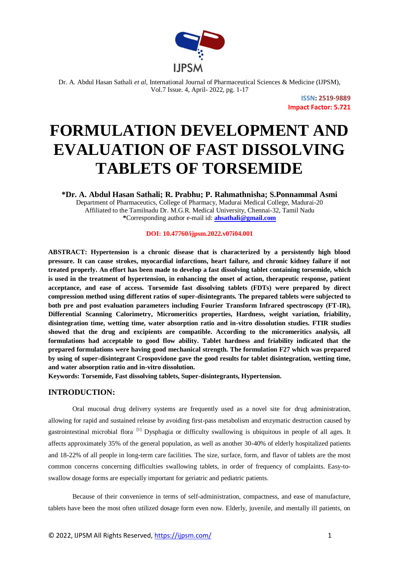

> **ISSN: 2519-9889 Impact Factor: 5.721**

# **FORMULATION DEVELOPMENT AND EVALUATION OF FAST DISSOLVING TABLETS OF TORSEMIDE**

**\*Dr. A. Abdul Hasan Sathali; R. Prabhu; P. Rahmathnisha; S.Ponnammal Asmi** Department of Pharmaceutics, College of Pharmacy, Madurai Medical College, Madurai-20 Affiliated to the Tamilnadu Dr. M.G.R. Medical University, Chennai-32, Tamil Nadu **\***Corresponding author e-mail id: **ahsathali@gmail.com**

**DOI: 10.47760/ijpsm.2022.v07i04.001**

**ABSTRACT: Hypertension is a chronic disease that is characterized by a persistently high blood pressure. It can cause strokes, myocardial infarctions, heart failure, and chronic kidney failure if not treated properly. An effort has been made to develop a fast dissolving tablet containing torsemide, which is used in the treatment of hypertension, in enhancing the onset of action, therapeutic response, patient acceptance, and ease of access. Torsemide fast dissolving tablets (FDTs) were prepared by direct compression method using different ratios of super-disintegrants. The prepared tablets were subjected to both pre and post evaluation parameters including Fourier Transform Infrared spectroscopy (FT-IR), Differential Scanning Calorimetry, Micromeritics properties, Hardness, weight variation, friability, disintegration time, wetting time, water absorption ratio and in-vitro dissolution studies. FTIR studies showed that the drug and excipients are compatible. According to the micromeritics analysis, all formulations had acceptable to good flow ability. Tablet hardness and friability indicated that the prepared formulations were having good mechanical strength. The formulation F27 which was prepared by using of super-disintegrant Crospovidone gave the good results for tablet disintegration, wetting time, and water absorption ratio and in-vitro dissolution.**

**Keywords: Torsemide, Fast dissolving tablets, Super-disintegrants, Hypertension.**

## **INTRODUCTION:**

Oral mucosal drug delivery systems are frequently used as a novel site for drug administration, allowing for rapid and sustained release by avoiding first-pass metabolism and enzymatic destruction caused by gastrointestinal microbial flora<sup>[1]</sup> Dysphagia or difficulty swallowing is ubiquitous in people of all ages. It affects approximately 35% of the general population, as well as another 30-40% of elderly hospitalized patients and 18-22% of all people in long-term care facilities. The size, surface, form, and flavor of tablets are the most common concerns concerning difficulties swallowing tablets, in order of frequency of complaints. Easy-toswallow dosage forms are especially important for geriatric and pediatric patients.

Because of their convenience in terms of self-administration, compactness, and ease of manufacture, tablets have been the most often utilized dosage form even now. Elderly, juvenile, and mentally ill patients, on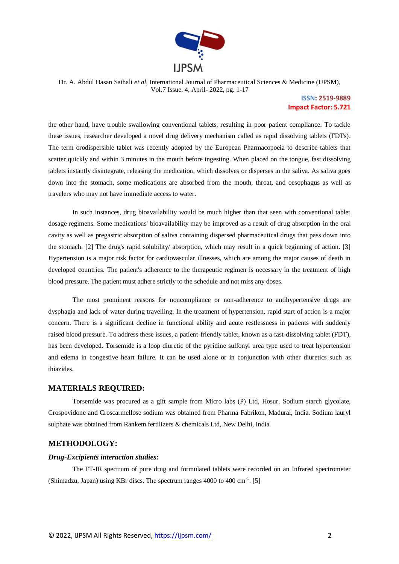

## **ISSN: 2519-9889 Impact Factor: 5.721**

the other hand, have trouble swallowing conventional tablets, resulting in poor patient compliance. To tackle these issues, researcher developed a novel drug delivery mechanism called as rapid dissolving tablets (FDTs). The term orodispersible tablet was recently adopted by the European Pharmacopoeia to describe tablets that scatter quickly and within 3 minutes in the mouth before ingesting. When placed on the tongue, fast dissolving tablets instantly disintegrate, releasing the medication, which dissolves or disperses in the saliva. As saliva goes down into the stomach, some medications are absorbed from the mouth, throat, and oesophagus as well as travelers who may not have immediate access to water.

In such instances, drug bioavailability would be much higher than that seen with conventional tablet dosage regimens. Some medications' bioavailability may be improved as a result of drug absorption in the oral cavity as well as pregastric absorption of saliva containing dispersed pharmaceutical drugs that pass down into the stomach. [2] The drug's rapid solubility/ absorption, which may result in a quick beginning of action. [3] Hypertension is a major risk factor for cardiovascular illnesses, which are among the major causes of death in developed countries. The patient's adherence to the therapeutic regimen is necessary in the treatment of high blood pressure. The patient must adhere strictly to the schedule and not miss any doses.

The most prominent reasons for noncompliance or non-adherence to antihypertensive drugs are dysphagia and lack of water during travelling. In the treatment of hypertension, rapid start of action is a major concern. There is a significant decline in functional ability and acute restlessness in patients with suddenly raised blood pressure. To address these issues, a patient-friendly tablet, known as a fast-dissolving tablet (FDT), has been developed. Torsemide is a loop diuretic of the pyridine sulfonyl urea type used to treat hypertension and edema in congestive heart failure. It can be used alone or in conjunction with other diuretics such as thiazides.

## **MATERIALS REQUIRED:**

Torsemide was procured as a gift sample from Micro labs (P) Ltd, Hosur. Sodium starch glycolate, Crospovidone and Croscarmellose sodium was obtained from Pharma Fabrikon, Madurai, India. Sodium lauryl sulphate was obtained from Rankem fertilizers & chemicals Ltd, New Delhi, India.

## **METHODOLOGY:**

#### *Drug-Excipients interaction studies:*

The FT-IR spectrum of pure drug and formulated tablets were recorded on an Infrared spectrometer (Shimadzu, Japan) using KBr discs. The spectrum ranges  $4000$  to  $400 \text{ cm}^{-1}$ . [5]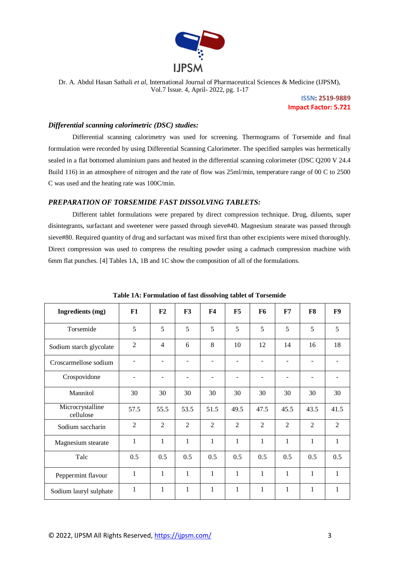

> **ISSN: 2519-9889 Impact Factor: 5.721**

#### *Differential scanning calorimetric (DSC) studies:*

Differential scanning calorimetry was used for screening. Thermograms of Torsemide and final formulation were recorded by using Differential Scanning Calorimeter. The specified samples was hermetically sealed in a flat bottomed aluminium pans and heated in the differential scanning colorimeter (DSC Q200 V 24.4 Build 116) in an atmosphere of nitrogen and the rate of flow was 25ml/min, temperature range of 00 C to 2500 C was used and the heating rate was 100C/min.

## *PREPARATION OF TORSEMIDE FAST DISSOLVING TABLETS:*

Different tablet formulations were prepared by direct compression technique. Drug, diluents, super disintegrants, surfactant and sweetener were passed through sieve#40. Magnesium stearate was passed through sieve#80. Required quantity of drug and surfactant was mixed first than other excipients were mixed thoroughly. Direct compression was used to compress the resulting powder using a cadmach compression machine with 6mm flat punches. [4] Tables 1A, 1B and 1C show the composition of all of the formulations.

| <b>Ingredients</b> (mg)       | F1             | F <sub>2</sub> | F3             | F <sub>4</sub> | F5             | <b>F6</b>                    | F7                           | F8             | F9             |
|-------------------------------|----------------|----------------|----------------|----------------|----------------|------------------------------|------------------------------|----------------|----------------|
| Torsemide                     | 5              | 5              | 5              | 5              | 5              | 5                            | 5                            | 5              | 5              |
| Sodium starch glycolate       | $\overline{2}$ | $\overline{4}$ | 6              | 8              | 10             | 12                           | 14                           | 16             | 18             |
| Croscarmellose sodium         |                |                | ٠              |                | ۰              | $\overline{\phantom{a}}$     | $\qquad \qquad \blacksquare$ |                |                |
| Crospovidone                  | $\blacksquare$ |                |                |                | ۰              | $\qquad \qquad \blacksquare$ | $\qquad \qquad \blacksquare$ |                |                |
| Mannitol                      | 30             | 30             | 30             | 30             | 30             | 30                           | 30                           | 30             | 30             |
| Microcrystalline<br>cellulose | 57.5           | 55.5           | 53.5           | 51.5           | 49.5           | 47.5                         | 45.5                         | 43.5           | 41.5           |
| Sodium saccharin              | $\overline{2}$ | $\overline{2}$ | $\overline{2}$ | $\overline{2}$ | $\overline{2}$ | $\overline{2}$               | $\overline{2}$               | $\overline{2}$ | $\overline{2}$ |
| Magnesium stearate            | 1              | 1              | $\mathbf{1}$   | $\mathbf{1}$   | $\mathbf{1}$   | $\mathbf{1}$                 | 1                            | 1              | 1              |
| Talc                          | 0.5            | 0.5            | 0.5            | 0.5            | 0.5            | 0.5                          | 0.5                          | 0.5            | 0.5            |
| Peppermint flavour            | $\mathbf{1}$   | $\mathbf{1}$   | $\mathbf{1}$   | $\mathbf{1}$   | $\mathbf{1}$   | $\mathbf{1}$                 | $\mathbf{1}$                 | $\mathbf{1}$   | $\mathbf{1}$   |
| Sodium lauryl sulphate        | 1              | $\mathbf{1}$   | 1              | $\mathbf{1}$   | $\mathbf{1}$   | 1                            | 1                            | 1              | 1              |

**Table 1A: Formulation of fast dissolving tablet of Torsemide**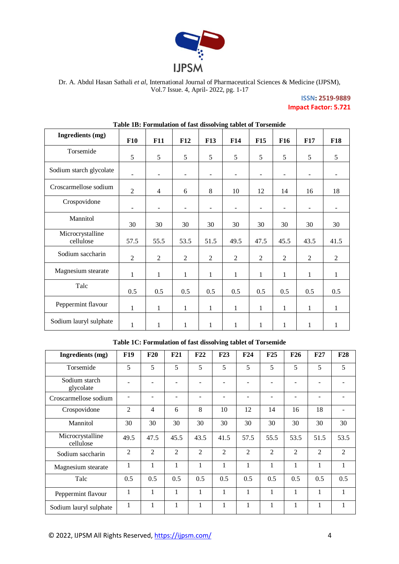

## **ISSN: 2519-9889 Impact Factor: 5.721**

| <b>Ingredients</b> (mg)       | F10                      | F11                      | F12                      | <b>F13</b>               | F14                      | F15            | <b>F16</b>               | F17                      | <b>F18</b>               |
|-------------------------------|--------------------------|--------------------------|--------------------------|--------------------------|--------------------------|----------------|--------------------------|--------------------------|--------------------------|
| Torsemide                     | 5                        | 5                        | 5                        | 5                        | 5                        | 5              | 5                        | 5                        | 5                        |
| Sodium starch glycolate       | ۰                        | ٠                        | $\overline{\phantom{a}}$ | $\overline{\phantom{a}}$ | $\overline{\phantom{a}}$ | ٠              | $\overline{\phantom{a}}$ | $\blacksquare$           | $\overline{\phantom{0}}$ |
| Croscarmellose sodium         | $\overline{2}$           | $\overline{4}$           | 6                        | 8                        | 10                       | 12             | 14                       | 16                       | 18                       |
| Crospovidone                  | $\overline{\phantom{a}}$ | $\overline{\phantom{a}}$ | $\overline{\phantom{a}}$ | $\overline{\phantom{a}}$ | $\overline{\phantom{a}}$ | $\blacksquare$ | $\blacksquare$           | $\overline{\phantom{a}}$ | $\overline{\phantom{a}}$ |
| Mannitol                      | 30                       | 30                       | 30                       | 30                       | 30                       | 30             | 30                       | 30                       | 30                       |
| Microcrystalline<br>cellulose | 57.5                     | 55.5                     | 53.5                     | 51.5                     | 49.5                     | 47.5           | 45.5                     | 43.5                     | 41.5                     |
| Sodium saccharin              | $\overline{2}$           | $\overline{2}$           | $\overline{2}$           | 2                        | $\mathfrak{2}$           | $\mathfrak{2}$ | 2                        | $\mathfrak{2}$           | 2                        |
| Magnesium stearate            | $\mathbf{1}$             | 1                        | $\mathbf{1}$             | 1                        | $\mathbf{1}$             | 1              | 1                        | 1                        | $\mathbf{1}$             |
| Talc                          | 0.5                      | 0.5                      | 0.5                      | 0.5                      | 0.5                      | 0.5            | 0.5                      | 0.5                      | 0.5                      |
| Peppermint flavour            | 1                        | $\mathbf{1}$             | 1                        | 1                        | $\mathbf{1}$             | $\mathbf{1}$   | 1                        | 1                        | $\mathbf{1}$             |
| Sodium lauryl sulphate        | 1                        | 1                        | $\mathbf{1}$             | 1                        | 1                        | 1              | 1                        | 1                        | $\mathbf{1}$             |

## **Table 1B: Formulation of fast dissolving tablet of Torsemide**

**Table 1C: Formulation of fast dissolving tablet of Torsemide**

| Ingredients (mg)              | <b>F19</b>     | F20            | F21  | F22            | F23            | F24            | F25                      | F26            | F27            | <b>F28</b>   |
|-------------------------------|----------------|----------------|------|----------------|----------------|----------------|--------------------------|----------------|----------------|--------------|
| Torsemide                     | 5              | 5              | 5    | 5              | 5              | 5              | 5                        | 5              | 5              | 5            |
| Sodium starch<br>glycolate    |                |                |      |                |                |                | $\overline{\phantom{a}}$ |                |                |              |
| Croscarmellose sodium         |                |                |      |                |                |                | $\overline{\phantom{a}}$ |                |                |              |
| Crospovidone                  | $\overline{2}$ | 4              | 6    | 8              | 10             | 12             | 14                       | 16             | 18             | ۰            |
| Mannitol                      | 30             | 30             | 30   | 30             | 30             | 30             | 30                       | 30             | 30             | 30           |
| Microcrystalline<br>cellulose | 49.5           | 47.5           | 45.5 | 43.5           | 41.5           | 57.5           | 55.5                     | 53.5           | 51.5           | 53.5         |
| Sodium saccharin              | $\overline{2}$ | $\overline{2}$ | 2    | $\overline{2}$ | $\overline{2}$ | $\overline{2}$ | $\overline{2}$           | $\overline{2}$ | $\overline{2}$ | 2            |
| Magnesium stearate            | 1              | 1              | 1    | 1              | 1              | 1              | 1                        | 1              | 1              | $\mathbf{1}$ |
| Talc                          | 0.5            | 0.5            | 0.5  | 0.5            | 0.5            | 0.5            | 0.5                      | 0.5            | 0.5            | 0.5          |
| Peppermint flavour            | 1              | 1              | 1    | 1              | 1              | 1              | 1                        | 1              | 1              | 1            |
| Sodium lauryl sulphate        | 1              |                | 1    | 1              | 1              | 1              | 1                        | 1              | 1              | 1            |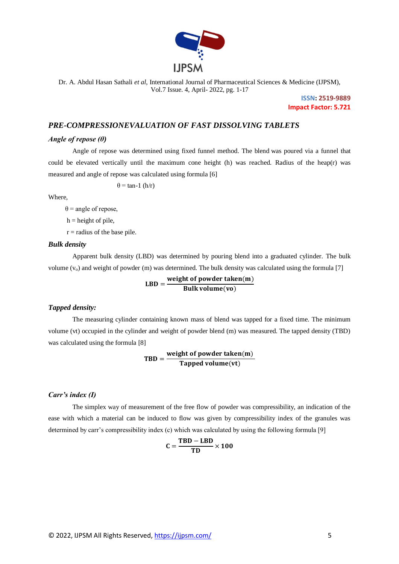

> **ISSN: 2519-9889 Impact Factor: 5.721**

## *PRE-COMPRESSIONEVALUATION OF FAST DISSOLVING TABLETS*

#### *Angle of repose (θ)*

Angle of repose was determined using fixed funnel method. The blend was poured via a funnel that could be elevated vertically until the maximum cone height (h) was reached. Radius of the heap(r) was measured and angle of repose was calculated using formula [6]

 $\theta$  = tan-1 (h/r)

Where,

 $\theta$  = angle of repose,

 $h =$  height of pile,

 $r =$  radius of the base pile.

#### *Bulk density*

Apparent bulk density (LBD) was determined by pouring blend into a graduated cylinder. The bulk volume  $(v_0)$  and weight of powder (m) was determined. The bulk density was calculated using the formula [7]

> $LBD = \frac{W}{A}$ B

#### *Tapped density:*

The measuring cylinder containing known mass of blend was tapped for a fixed time. The minimum volume (vt) occupied in the cylinder and weight of powder blend (m) was measured. The tapped density (TBD) was calculated using the formula [8]

> $TBD = \frac{W}{A}$ T

#### *Carr's index (I)*

The simplex way of measurement of the free flow of powder was compressibility, an indication of the ease with which a material can be induced to flow was given by compressibility index of the granules was determined by carr's compressibility index (c) which was calculated by using the following formula [9]

$$
C = \frac{TBD - LBD}{TD} \times 100
$$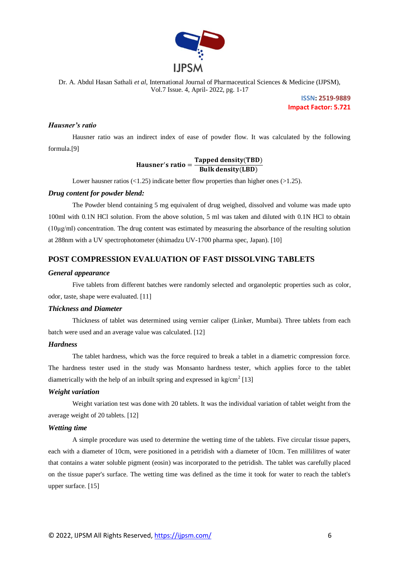

> **ISSN: 2519-9889 Impact Factor: 5.721**

## *Hausner's ratio*

Hausner ratio was an indirect index of ease of powder flow. It was calculated by the following formula.[9]

## Hausner's ratio =  $\frac{T}{t}$ B

Lower hausner ratios (<1.25) indicate better flow properties than higher ones (>1.25).

#### *Drug content for powder blend:*

The Powder blend containing 5 mg equivalent of drug weighed, dissolved and volume was made upto 100ml with 0.1N HCl solution. From the above solution, 5 ml was taken and diluted with 0.1N HCl to obtain (10μg/ml) concentration. The drug content was estimated by measuring the absorbance of the resulting solution at 288nm with a UV spectrophotometer (shimadzu UV-1700 pharma spec, Japan). [10]

## **POST COMPRESSION EVALUATION OF FAST DISSOLVING TABLETS**

#### *General appearance*

Five tablets from different batches were randomly selected and organoleptic properties such as color, odor, taste, shape were evaluated. [11]

#### *Thickness and Diameter*

Thickness of tablet was determined using vernier caliper (Linker, Mumbai). Three tablets from each batch were used and an average value was calculated. [12]

#### *Hardness*

The tablet hardness, which was the force required to break a tablet in a diametric compression force. The hardness tester used in the study was Monsanto hardness tester, which applies force to the tablet diametrically with the help of an inbuilt spring and expressed in  $\text{kg/cm}^2$  [13]

#### *Weight variation*

Weight variation test was done with 20 tablets. It was the individual variation of tablet weight from the average weight of 20 tablets. [12]

#### *Wetting time*

A simple procedure was used to determine the wetting time of the tablets. Five circular tissue papers, each with a diameter of 10cm, were positioned in a petridish with a diameter of 10cm. Ten millilitres of water that contains a water soluble pigment (eosin) was incorporated to the petridish. The tablet was carefully placed on the tissue paper's surface. The wetting time was defined as the time it took for water to reach the tablet's upper surface. [15]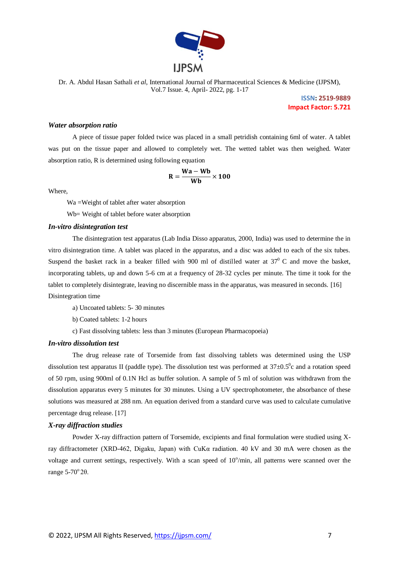

> **ISSN: 2519-9889 Impact Factor: 5.721**

#### *Water absorption ratio*

A piece of tissue paper folded twice was placed in a small petridish containing 6ml of water. A tablet was put on the tissue paper and allowed to completely wet. The wetted tablet was then weighed. Water absorption ratio, R is determined using following equation

$$
R = \frac{Wa - Wb}{Wb} \times 100
$$

Where,

Wa =Weight of tablet after water absorption

Wb= Weight of tablet before water absorption

#### *In-vitro disintegration test*

The disintegration test apparatus (Lab India Disso apparatus, 2000, India) was used to determine the in vitro disintegration time. A tablet was placed in the apparatus, and a disc was added to each of the six tubes. Suspend the basket rack in a beaker filled with 900 ml of distilled water at  $37^{\circ}$  C and move the basket, incorporating tablets, up and down 5-6 cm at a frequency of 28-32 cycles per minute. The time it took for the tablet to completely disintegrate, leaving no discernible mass in the apparatus, was measured in seconds. [16] Disintegration time

a) Uncoated tablets: 5- 30 minutes

b) Coated tablets: 1-2 hours

c) Fast dissolving tablets: less than 3 minutes (European Pharmacopoeia)

#### *In-vitro dissolution test*

The drug release rate of Torsemide from fast dissolving tablets was determined using the USP dissolution test apparatus II (paddle type). The dissolution test was performed at  $37\pm0.5^{\circ}$ c and a rotation speed of 50 rpm, using 900ml of 0.1N Hcl as buffer solution. A sample of 5 ml of solution was withdrawn from the dissolution apparatus every 5 minutes for 30 minutes. Using a UV spectrophotometer, the absorbance of these solutions was measured at 288 nm. An equation derived from a standard curve was used to calculate cumulative percentage drug release. [17]

#### *X-ray diffraction studies*

Powder X-ray diffraction pattern of Torsemide, excipients and final formulation were studied using Xray diffractometer (XRD-462, Digaku, Japan) with CuKα radiation. 40 kV and 30 mA were chosen as the voltage and current settings, respectively. With a scan speed of  $10^{\circ}/\text{min}$ , all patterns were scanned over the range  $5-70^{\circ}$  2 $\theta$ .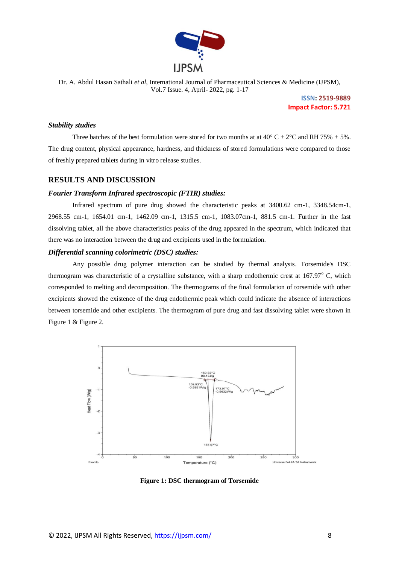

> **ISSN: 2519-9889 Impact Factor: 5.721**

#### *Stability studies*

Three batches of the best formulation were stored for two months at at  $40^{\circ}$  C  $\pm$  2°C and RH 75%  $\pm$  5%. The drug content, physical appearance, hardness, and thickness of stored formulations were compared to those of freshly prepared tablets during in vitro release studies.

## **RESULTS AND DISCUSSION**

#### *Fourier Transform Infrared spectroscopic (FTIR) studies:*

Infrared spectrum of pure drug showed the characteristic peaks at 3400.62 cm-1, 3348.54cm-1, 2968.55 cm-1, 1654.01 cm-1, 1462.09 cm-1, 1315.5 cm-1, 1083.07cm-1, 881.5 cm-1. Further in the fast dissolving tablet, all the above characteristics peaks of the drug appeared in the spectrum, which indicated that there was no interaction between the drug and excipients used in the formulation.

## *Differential scanning colorimetric (DSC) studies:*

Any possible drug polymer interaction can be studied by thermal analysis. Torsemide's DSC thermogram was characteristic of a crystalline substance, with a sharp endothermic crest at 167.97° C, which corresponded to melting and decomposition. The thermograms of the final formulation of torsemide with other excipients showed the existence of the drug endothermic peak which could indicate the absence of interactions between torsemide and other excipients. The thermogram of pure drug and fast dissolving tablet were shown in Figure 1 & Figure 2.



**Figure 1: DSC thermogram of Torsemide**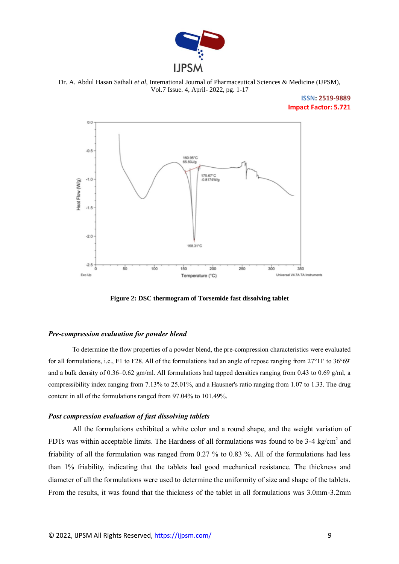

Dr. A. Abdul Hasan Sathali *et al*, International Journal of Pharmaceutical Sciences & Medicine (IJPSM), Vol.7 Issue. 4, April- 2022, pg. 1-17

## **ISSN: 2519-9889 Impact Factor: 5.721**



**Figure 2: DSC thermogram of Torsemide fast dissolving tablet**

#### *Pre-compression evaluation for powder blend*

To determine the flow properties of a powder blend, the pre-compression characteristics were evaluated for all formulations, i.e., F1 to F28. All of the formulations had an angle of repose ranging from 27°11' to 36°69' and a bulk density of 0.36–0.62 gm/ml. All formulations had tapped densities ranging from 0.43 to 0.69 g/ml, a compressibility index ranging from 7.13% to 25.01%, and a Hausner's ratio ranging from 1.07 to 1.33. The drug content in all of the formulations ranged from 97.04% to 101.49%.

#### *Post compression evaluation of fast dissolving tablets*

All the formulations exhibited a white color and a round shape, and the weight variation of FDTs was within acceptable limits. The Hardness of all formulations was found to be  $3-4$  kg/cm<sup>2</sup> and friability of all the formulation was ranged from 0.27 % to 0.83 %. All of the formulations had less than 1% friability, indicating that the tablets had good mechanical resistance. The thickness and diameter of all the formulations were used to determine the uniformity of size and shape of the tablets. From the results, it was found that the thickness of the tablet in all formulations was 3.0mm-3.2mm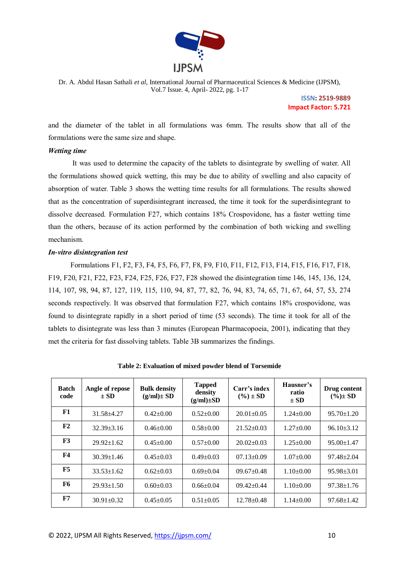

> **ISSN: 2519-9889 Impact Factor: 5.721**

and the diameter of the tablet in all formulations was 6mm. The results show that all of the formulations were the same size and shape.

## *Wetting time*

It was used to determine the capacity of the tablets to disintegrate by swelling of water. All the formulations showed quick wetting, this may be due to ability of swelling and also capacity of absorption of water. Table 3 shows the wetting time results for all formulations. The results showed that as the concentration of superdisintegrant increased, the time it took for the superdisintegrant to dissolve decreased. Formulation F27, which contains 18% Crospovidone, has a faster wetting time than the others, because of its action performed by the combination of both wicking and swelling mechanism.

## *In-vitro disintegration test*

 Formulations F1, F2, F3, F4, F5, F6, F7, F8, F9, F10, F11, F12, F13, F14, F15, F16, F17, F18, F19, F20, F21, F22, F23, F24, F25, F26, F27, F28 showed the disintegration time 146, 145, 136, 124, 114, 107, 98, 94, 87, 127, 119, 115, 110, 94, 87, 77, 82, 76, 94, 83, 74, 65, 71, 67, 64, 57, 53, 274 seconds respectively. It was observed that formulation F27, which contains 18% crospovidone, was found to disintegrate rapidly in a short period of time (53 seconds). The time it took for all of the tablets to disintegrate was less than 3 minutes (European Pharmacopoeia, 2001), indicating that they met the criteria for fast dissolving tablets. Table 3B summarizes the findings.

| <b>Batch</b><br>code | Angle of repose<br>$\pm$ SD | <b>Bulk density</b><br>$(g/ml) \pm SD$ | <b>Tapped</b><br>density<br>$(g/ml)\pm SD$ | Carr's index<br>$(\%) \pm SD$ | Hausner's<br>ratio<br>$\pm$ SD | Drug content<br>$(\%)\pm SD$ |
|----------------------|-----------------------------|----------------------------------------|--------------------------------------------|-------------------------------|--------------------------------|------------------------------|
| F1                   | $31.58 \pm 4.27$            | $0.42 \pm 0.00$                        | $0.52 \pm 0.00$                            | $20.01 \pm 0.05$              | $1.24 \pm 0.00$                | $95.70 \pm 1.20$             |
| F2                   | $32.39 + 3.16$              | $0.46 \pm 0.00$                        | $0.58 \pm 0.00$                            | $21.52 \pm 0.03$              | $1.27 \pm 0.00$                | $96.10 \pm 3.12$             |
| F3                   | $29.92 \pm 1.62$            | $0.45 \pm 0.00$                        | $0.57 \pm 0.00$                            | $20.02 \pm 0.03$              | $1.25 \pm 0.00$                | $95.00 \pm 1.47$             |
| F <sub>4</sub>       | $30.39 \pm 1.46$            | $0.45 \pm 0.03$                        | $0.49 \pm 0.03$                            | $07.13 \pm 0.09$              | $1.07 \pm 0.00$                | $97.48 \pm 2.04$             |
| F5                   | $33.53 \pm 1.62$            | $0.62+0.03$                            | $0.69 + 0.04$                              | $09.67 \pm 0.48$              | $1.10\pm0.00$                  | $95.98 \pm 3.01$             |
| F6                   | $29.93 \pm 1.50$            | $0.60 \pm 0.03$                        | $0.66 \pm 0.04$                            | $09.42 \pm 0.44$              | $1.10\pm0.00$                  | $97.38 \pm 1.76$             |
| F7                   | $30.91 \pm 0.32$            | $0.45 \pm 0.05$                        | $0.51 \pm 0.05$                            | $12.78 \pm 0.48$              | $1.14 \pm 0.00$                | $97.68 \pm 1.42$             |

**Table 2: Evaluation of mixed powder blend of Torsemide**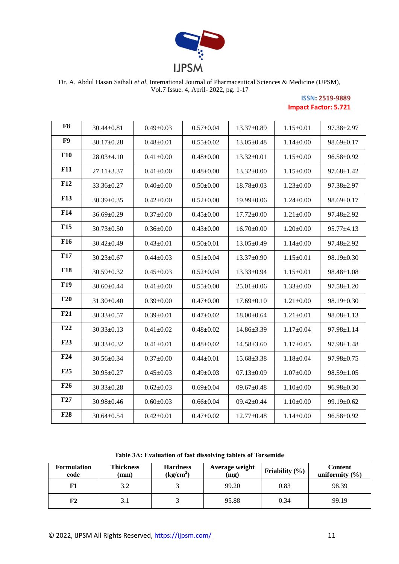

## **ISSN: 2519-9889 Impact Factor: 5.721**

| F8         | $30.44 \pm 0.81$ | $0.49 \pm 0.03$ | $0.57 \pm 0.04$ | $13.37 \pm 0.89$ | $1.15 \pm 0.01$ | 97.38±2.97       |
|------------|------------------|-----------------|-----------------|------------------|-----------------|------------------|
| F9         | $30.17 \pm 0.28$ | $0.48 \pm 0.01$ | $0.55 \pm 0.02$ | $13.05 \pm 0.48$ | $1.14 \pm 0.00$ | 98.69±0.17       |
| <b>F10</b> | $28.03 \pm 4.10$ | $0.41 \pm 0.00$ | $0.48 + 0.00$   | $13.32 \pm 0.01$ | $1.15 \pm 0.00$ | 96.58±0.92       |
| <b>F11</b> | $27.11 \pm 3.37$ | $0.41 \pm 0.00$ | $0.48 \pm 0.00$ | $13.32 \pm 0.00$ | $1.15 \pm 0.00$ | $97.68 \pm 1.42$ |
| <b>F12</b> | 33.36±0.27       | $0.40 \pm 0.00$ | $0.50 \pm 0.00$ | $18.78 \pm 0.03$ | $1.23 \pm 0.00$ | 97.38±2.97       |
| <b>F13</b> | $30.39 \pm 0.35$ | $0.42 \pm 0.00$ | $0.52 \pm 0.00$ | $19.99 \pm 0.06$ | $1.24 \pm 0.00$ | $98.69 \pm 0.17$ |
| F14        | $36.69 \pm 0.29$ | $0.37 \pm 0.00$ | $0.45 \pm 0.00$ | $17.72 \pm 0.00$ | $1.21 \pm 0.00$ | 97.48±2.92       |
| <b>F15</b> | $30.73 \pm 0.50$ | $0.36 \pm 0.00$ | $0.43 \pm 0.00$ | $16.70 \pm 0.00$ | $1.20 \pm 0.00$ | 95.77±4.13       |
| <b>F16</b> | $30.42 \pm 0.49$ | $0.43 \pm 0.01$ | $0.50 \pm 0.01$ | $13.05 \pm 0.49$ | $1.14 \pm 0.00$ | 97.48±2.92       |
| F17        | $30.23 \pm 0.67$ | $0.44 \pm 0.03$ | $0.51 \pm 0.04$ | $13.37 \pm 0.90$ | $1.15 \pm 0.01$ | 98.19±0.30       |
| <b>F18</b> | 30.59±0.32       | $0.45 \pm 0.03$ | $0.52 \pm 0.04$ | 13.33±0.94       | $1.15 \pm 0.01$ | 98.48±1.08       |
| <b>F19</b> | $30.60 \pm 0.44$ | $0.41 \pm 0.00$ | $0.55 \pm 0.00$ | $25.01 \pm 0.06$ | $1.33 \pm 0.00$ | $97.58 \pm 1.20$ |
| F20        | $31.30 \pm 0.40$ | $0.39 \pm 0.00$ | $0.47 \pm 0.00$ | $17.69 \pm 0.10$ | $1.21 \pm 0.00$ | $98.19 \pm 0.30$ |
| F21        | $30.33 \pm 0.57$ | $0.39 \pm 0.01$ | $0.47 + 0.02$   | $18.00 \pm 0.64$ | $1.21 \pm 0.01$ | $98.08 \pm 1.13$ |
| F22        | $30.33 \pm 0.13$ | $0.41 \pm 0.02$ | $0.48 + 0.02$   | 14.86±3.39       | $1.17 \pm 0.04$ | $97.98 \pm 1.14$ |
| F23        | $30.33 \pm 0.32$ | $0.41 \pm 0.01$ | $0.48 + 0.02$   | $14.58 \pm 3.60$ | $1.17 \pm 0.05$ | 97.98±1.48       |
| F24        | $30.56 \pm 0.34$ | $0.37 \pm 0.00$ | $0.44 \pm 0.01$ | $15.68 \pm 3.38$ | $1.18 \pm 0.04$ | $97.98 \pm 0.75$ |
| F25        | 30.95±0.27       | $0.45 \pm 0.03$ | $0.49 \pm 0.03$ | $07.13 \pm 0.09$ | $1.07 \pm 0.00$ | $98.59 \pm 1.05$ |
| F26        | $30.33 \pm 0.28$ | $0.62 \pm 0.03$ | $0.69 \pm 0.04$ | $09.67 \pm 0.48$ | $1.10\pm0.00$   | $96.98 \pm 0.30$ |
| F27        | 30.98±0.46       | $0.60 \pm 0.03$ | $0.66 \pm 0.04$ | $09.42 \pm 0.44$ | $1.10 \pm 0.00$ | $99.19 \pm 0.62$ |
| <b>F28</b> | $30.64 \pm 0.54$ | $0.42 \pm 0.01$ | $0.47 + 0.02$   | $12.77 \pm 0.48$ | $1.14 \pm 0.00$ | 96.58±0.92       |

**Table 3A: Evaluation of fast dissolving tablets of Torsemide**

| <b>Formulation</b><br>code | <b>Thickness</b><br>(mm) | <b>Hardness</b><br>(kg/cm <sup>2</sup> ) | Average weight<br>(mg) | Friability $(\% )$ | <b>Content</b><br>uniformity $(\% )$ |
|----------------------------|--------------------------|------------------------------------------|------------------------|--------------------|--------------------------------------|
| F1                         | 3.2                      |                                          | 99.20                  | 0.83               | 98.39                                |
| F2                         |                          |                                          | 95.88                  | 0.34               | 99.19                                |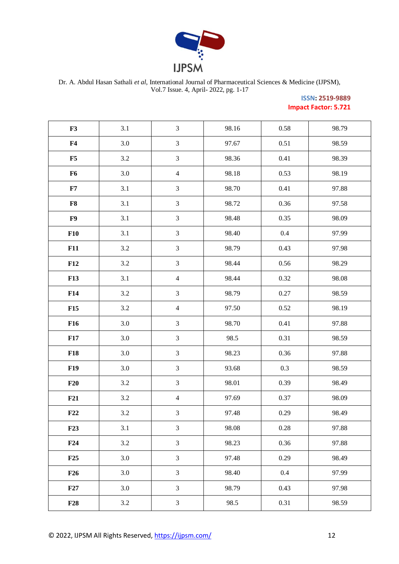

## **ISSN: 2519-9889 Impact Factor: 5.721**

| F3             | 3.1     | $\mathfrak{Z}$ | 98.16 | 0.58     | 98.79 |
|----------------|---------|----------------|-------|----------|-------|
| F <sub>4</sub> | $3.0\,$ | $\mathfrak{Z}$ | 97.67 | 0.51     | 98.59 |
| F5             | 3.2     | $\mathfrak{Z}$ | 98.36 | 0.41     | 98.39 |
| F <sub>6</sub> | 3.0     | $\overline{4}$ | 98.18 | 0.53     | 98.19 |
| F7             | 3.1     | $\mathfrak{Z}$ | 98.70 | 0.41     | 97.88 |
| ${\bf F8}$     | 3.1     | $\mathfrak{Z}$ | 98.72 | 0.36     | 97.58 |
| F9             | 3.1     | $\mathfrak{Z}$ | 98.48 | 0.35     | 98.09 |
| F10            | 3.1     | $\mathfrak{Z}$ | 98.40 | $0.4\,$  | 97.99 |
| F11            | 3.2     | $\mathfrak{Z}$ | 98.79 | 0.43     | 97.98 |
| F12            | 3.2     | $\mathfrak{Z}$ | 98.44 | 0.56     | 98.29 |
| <b>F13</b>     | 3.1     | $\overline{4}$ | 98.44 | 0.32     | 98.08 |
| F14            | $3.2\,$ | $\mathfrak{Z}$ | 98.79 | 0.27     | 98.59 |
| F15            | $3.2\,$ | $\overline{4}$ | 97.50 | 0.52     | 98.19 |
| <b>F16</b>     | 3.0     | $\mathfrak{Z}$ | 98.70 | 0.41     | 97.88 |
| F17            | 3.0     | $\mathfrak{Z}$ | 98.5  | 0.31     | 98.59 |
| <b>F18</b>     | 3.0     | $\mathfrak{Z}$ | 98.23 | 0.36     | 97.88 |
| <b>F19</b>     | $3.0\,$ | $\mathfrak{Z}$ | 93.68 | 0.3      | 98.59 |
| F20            | $3.2\,$ | $\mathfrak{Z}$ | 98.01 | 0.39     | 98.49 |
| F21            | $3.2\,$ | $\overline{4}$ | 97.69 | 0.37     | 98.09 |
| F22            | $3.2\,$ | $\mathfrak{Z}$ | 97.48 | 0.29     | 98.49 |
| F23            | 3.1     | $\mathfrak{Z}$ | 98.08 | $0.28\,$ | 97.88 |
| F24            | 3.2     | $\mathfrak{Z}$ | 98.23 | 0.36     | 97.88 |
| F25            | 3.0     | $\mathfrak{Z}$ | 97.48 | 0.29     | 98.49 |
| F26            | 3.0     | $\mathfrak{Z}$ | 98.40 | $0.4\,$  | 97.99 |
| F27            | 3.0     | $\mathfrak{Z}$ | 98.79 | 0.43     | 97.98 |
| F28            | $3.2\,$ | $\mathfrak{Z}$ | 98.5  | 0.31     | 98.59 |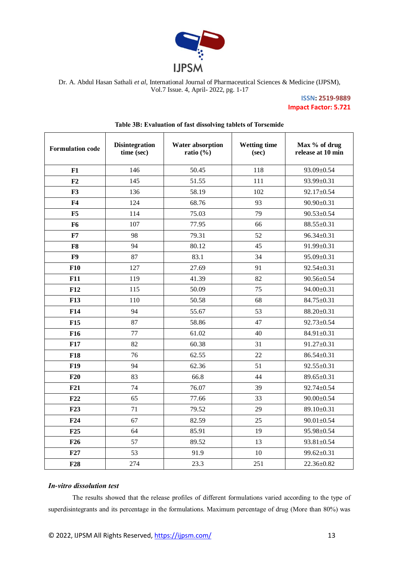

**ISSN: 2519-9889 Impact Factor: 5.721**

| <b>Formulation code</b> | <b>Disintegration</b><br>time (sec) | <b>Water absorption</b><br>ratio $(\% )$ | <b>Wetting time</b><br>(sec) | Max % of drug<br>release at 10 min |
|-------------------------|-------------------------------------|------------------------------------------|------------------------------|------------------------------------|
| F1                      | 146                                 | 50.45                                    | 118                          | 93.09±0.54                         |
| F2                      | 145                                 | 51.55                                    | 111                          | 93.99±0.31                         |
| F <sub>3</sub>          | 136                                 | 58.19                                    | 102                          | 92.17±0.54                         |
| F <sub>4</sub>          | 124                                 | 68.76                                    | 93                           | 90.90±0.31                         |
| F5                      | 114                                 | 75.03                                    | 79                           | $90.53 \pm 0.54$                   |
| F <sub>6</sub>          | 107                                 | 77.95                                    | 66                           | 88.55±0.31                         |
| F7                      | 98                                  | 79.31                                    | 52                           | $96.34 \pm 0.31$                   |
| F8                      | 94                                  | 80.12                                    | 45                           | 91.99±0.31                         |
| F9                      | 87                                  | 83.1                                     | 34                           | 95.09±0.31                         |
| <b>F10</b>              | 127                                 | 27.69                                    | 91                           | $92.54 \pm 0.31$                   |
| F11                     | 119                                 | 41.39                                    | 82                           | $90.56 \pm 0.54$                   |
| <b>F12</b>              | 115                                 | 50.09                                    | 75                           | 94.00±0.31                         |
| <b>F13</b>              | 110                                 | 50.58                                    | 68                           | 84.75±0.31                         |
| F14                     | 94                                  | 55.67                                    | 53                           | 88.20±0.31                         |
| F15                     | 87                                  | 58.86                                    | 47                           | $92.73 \pm 0.54$                   |
| F <sub>16</sub>         | 77                                  | 61.02                                    | 40                           | 84.91±0.31                         |
| F17                     | 82                                  | 60.38                                    | 31                           | $91.27 \pm 0.31$                   |
| <b>F18</b>              | 76                                  | 62.55                                    | 22                           | $86.54 \pm 0.31$                   |
| <b>F19</b>              | 94                                  | 62.36                                    | 51                           | $92.55 \pm 0.31$                   |
| F20                     | 83                                  | 66.8                                     | 44                           | 89.65±0.31                         |
| F21                     | 74                                  | 76.07                                    | 39                           | 92.74±0.54                         |
| F22                     | 65                                  | 77.66                                    | 33                           | $90.00 \pm 0.54$                   |
| F <sub>23</sub>         | 71                                  | 79.52                                    | 29                           | 89.10±0.31                         |
| F24                     | 67                                  | 82.59                                    | 25                           | $90.01 \pm 0.54$                   |
| F25                     | 64                                  | 85.91                                    | 19                           | 95.98±0.54                         |
| F26                     | 57                                  | 89.52                                    | 13                           | 93.81±0.54                         |
| F27                     | 53                                  | 91.9                                     | 10                           | 99.62±0.31                         |
| <b>F28</b>              | 274                                 | 23.3                                     | 251                          | $22.36 \pm 0.82$                   |

## **Table 3B: Evaluation of fast dissolving tablets of Torsemide**

## *In-vitro dissolution test*

The results showed that the release profiles of different formulations varied according to the type of superdisintegrants and its percentage in the formulations. Maximum percentage of drug (More than 80%) was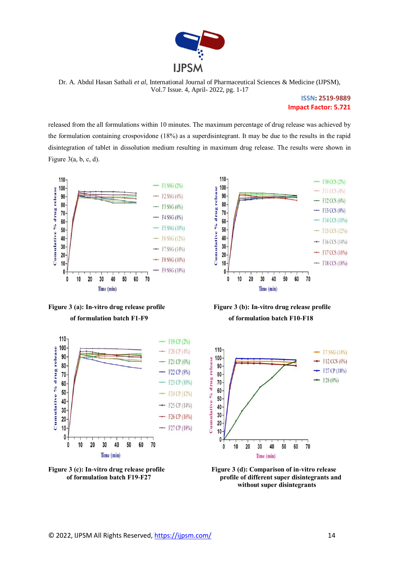

> **ISSN: 2519-9889 Impact Factor: 5.721**

released from the all formulations within 10 minutes. The maximum percentage of drug release was achieved by the formulation containing crospovidone (18%) as a superdisintegrant. It may be due to the results in the rapid disintegration of tablet in dissolution medium resulting in maximum drug release. The results were shown in Figure  $3(a, b, c, d)$ .













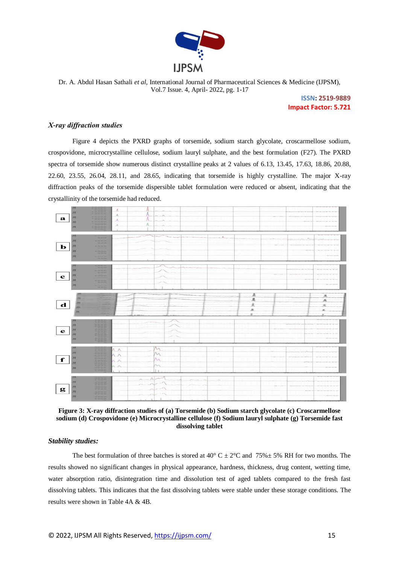

> **ISSN: 2519-9889 Impact Factor: 5.721**

#### *X-ray diffraction studies*

Figure 4 depicts the PXRD graphs of torsemide, sodium starch glycolate, croscarmellose sodium, crospovidone, microcrystalline cellulose, sodium lauryl sulphate, and the best formulation (F27). The PXRD spectra of torsemide show numerous distinct crystalline peaks at 2 values of 6.13, 13.45, 17.63, 18.86, 20.88, 22.60, 23.55, 26.04, 28.11, and 28.65, indicating that torsemide is highly crystalline. The major X-ray diffraction peaks of the torsemide dispersible tablet formulation were reduced or absent, indicating that the crystallinity of the torsemide had reduced.



**Figure 3: X-ray diffraction studies of (a) Torsemide (b) Sodium starch glycolate (c) Croscarmellose sodium (d) Crospovidone (e) Microcrystalline cellulose (f) Sodium lauryl sulphate (g) Torsemide fast dissolving tablet**

#### *Stability studies:*

The best formulation of three batches is stored at  $40^{\circ}$  C  $\pm$  2°C and 75% $\pm$  5% RH for two months. The results showed no significant changes in physical appearance, hardness, thickness, drug content, wetting time, water absorption ratio, disintegration time and dissolution test of aged tablets compared to the fresh fast dissolving tablets. This indicates that the fast dissolving tablets were stable under these storage conditions. The results were shown in Table 4A & 4B.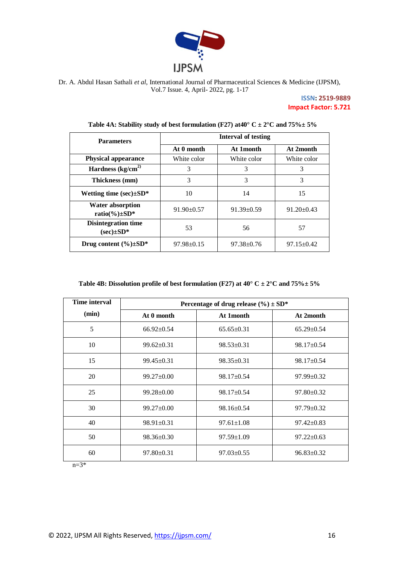

## **ISSN: 2519-9889 Impact Factor: 5.721**

| <b>Parameters</b>                              | <b>Interval of testing</b> |                  |                  |  |  |  |  |
|------------------------------------------------|----------------------------|------------------|------------------|--|--|--|--|
|                                                | At 0 month                 | At 1 month       | At 2month        |  |  |  |  |
| <b>Physical appearance</b>                     | White color                | White color      | White color      |  |  |  |  |
| Hardness $\frac{kg}{cm^2}$                     | 3                          | 3                | 3                |  |  |  |  |
| Thickness (mm)                                 | 3                          | 3                | 3                |  |  |  |  |
| Wetting time $(\sec) \pm SD^*$                 | 10                         | 14               | 15               |  |  |  |  |
| <b>Water absorption</b><br>ratio(%) $\pm SD^*$ | $91.90 \pm 0.57$           | $91.39 \pm 0.59$ | $91.20 \pm 0.43$ |  |  |  |  |
| <b>Disintegration time</b><br>$(sec)\pm SD^*$  | 53                         | 56               | 57               |  |  |  |  |
| Drug content $(\%)\pm SD^*$                    | $97.98 \pm 0.15$           | $97.38 \pm 0.76$ | $97.15 \pm 0.42$ |  |  |  |  |

Table 4A: Stability study of best formulation (F27) at  $40^{\circ}$  C  $\pm$  2°C and  $75\%$   $\pm$  5%

## **Table 4B: Dissolution profile of best formulation (F27) at 40° C ± 2°C and 75%± 5%**

| Time interval |                  | Percentage of drug release $(\%$ $\pm$ SD* |                  |
|---------------|------------------|--------------------------------------------|------------------|
| (min)         | At 0 month       | At 1 month                                 | At 2month        |
| 5             | $66.92 \pm 0.54$ | $65.65 \pm 0.31$                           | $65.29 \pm 0.54$ |
| 10            | $99.62 \pm 0.31$ | $98.53 \pm 0.31$                           | $98.17 \pm 0.54$ |
| 15            | $99.45 \pm 0.31$ | $98.35 \pm 0.31$                           | $98.17 \pm 0.54$ |
| 20            | $99.27 \pm 0.00$ | $98.17 \pm 0.54$                           | $97.99 \pm 0.32$ |
| 25            | $99.28 \pm 0.00$ | $98.17 \pm 0.54$                           | $97.80 \pm 0.32$ |
| 30            | $99.27 \pm 0.00$ | $98.16 \pm 0.54$                           | $97.79 \pm 0.32$ |
| 40            | $98.91 \pm 0.31$ | $97.61 \pm 1.08$                           | $97.42 \pm 0.83$ |
| 50            | $98.36 \pm 0.30$ | $97.59 \pm 1.09$                           | $97.22 \pm 0.63$ |
| 60            | $97.80 \pm 0.31$ | $97.03 \pm 0.55$                           | $96.83 \pm 0.32$ |

 $n=3*$